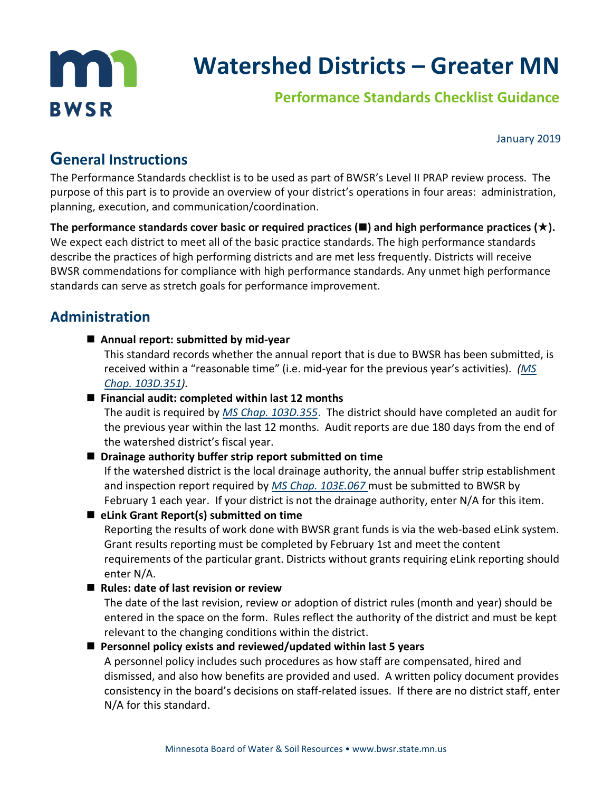

# **Watershed Districts – Greater MN**

# **Performance Standards Checklist Guidance**

January 2019

# **General Instructions**

The Performance Standards checklist is to be used as part of BWSR's Level II PRAP review process. The purpose of this part is to provide an overview of your district's operations in four areas: administration, planning, execution, and communication/coordination.

The performance standards cover basic or required practices  $(\blacksquare)$  and high performance practices  $(\star)$ . We expect each district to meet all of the basic practice standards. The high performance standards describe the practices of high performing districts and are met less frequently. Districts will receive BWSR commendations for compliance with high performance standards. Any unmet high performance standards can serve as stretch goals for performance improvement.

# **Administration**

**Annual report: submitted by mid-year**

This standard records whether the annual report that is due to BWSR has been submitted, is received within a "reasonable time" (i.e. mid-year for the previous year's activities). *[\(MS](https://www.revisor.mn.gov/statutes/?id=103D.351)  [Chap. 103D.351\)](https://www.revisor.mn.gov/statutes/?id=103D.351).* 

#### **Financial audit: completed within last 12 months**

The audit is required by *[MS Chap. 103D.355](https://www.revisor.mn.gov/statutes/?id=103D.355)*. The district should have completed an audit for the previous year within the last 12 months. Audit reports are due 180 days from the end of the watershed district's fiscal year.

### ■ Drainage authority buffer strip report submitted on time

If the watershed district is the local drainage authority, the annual buffer strip establishment and inspection report required by *[MS Chap. 103E.067](https://www.revisor.mn.gov/statutes/?id=103E.067)* must be submitted to BWSR by February 1 each year. If your district is not the drainage authority, enter N/A for this item.

 **eLink Grant Report(s) submitted on time** Reporting the results of work done with BWSR grant funds is via the web-based eLink system. Grant results reporting must be completed by February 1st and meet the content requirements of the particular grant. Districts without grants requiring eLink reporting should enter N/A.

### ■ Rules: date of last revision or review

The date of the last revision, review or adoption of district rules (month and year) should be entered in the space on the form. Rules reflect the authority of the district and must be kept relevant to the changing conditions within the district.

#### **Personnel policy exists and reviewed/updated within last 5 years**

A personnel policy includes such procedures as how staff are compensated, hired and dismissed, and also how benefits are provided and used. A written policy document provides consistency in the board's decisions on staff-related issues. If there are no district staff, enter N/A for this standard.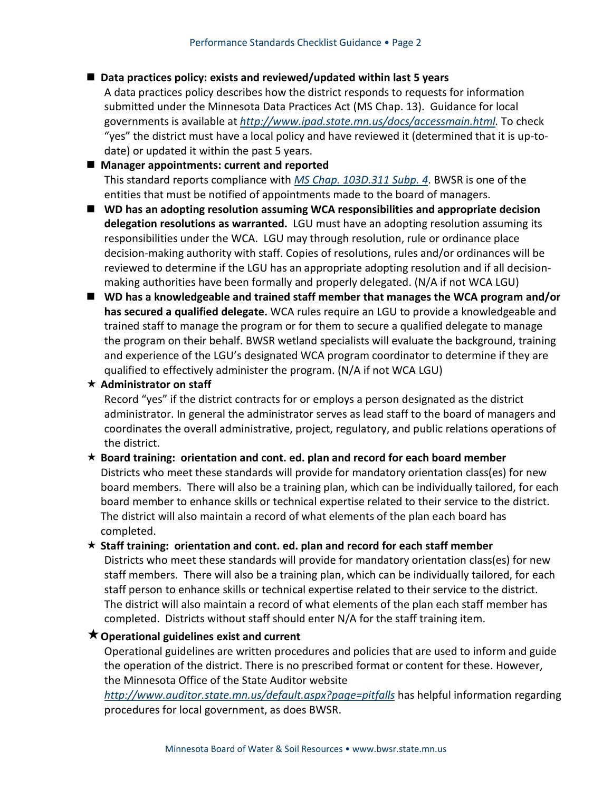#### ■ Data practices policy: exists and reviewed/updated within last 5 years

A data practices policy describes how the district responds to requests for information submitted under the Minnesota Data Practices Act (MS Chap. 13). Guidance for local governments is available at *[http://www.ipad.state.mn.us/docs/accessmain.html.](http://www.ipad.state.mn.us/docs/accessmain.html)* To check "yes" the district must have a local policy and have reviewed it (determined that it is up-todate) or updated it within the past 5 years.

#### **Manager appointments: current and reported** This standard reports compliance with *[MS Chap. 103D.311 Subp. 4](https://www.revisor.mn.gov/statutes/?id=103D.311)*. BWSR is one of the entities that must be notified of appointments made to the board of managers.

- WD has an adopting resolution assuming WCA responsibilities and appropriate decision **delegation resolutions as warranted.** LGU must have an adopting resolution assuming its responsibilities under the WCA. LGU may through resolution, rule or ordinance place decision-making authority with staff. Copies of resolutions, rules and/or ordinances will be reviewed to determine if the LGU has an appropriate adopting resolution and if all decisionmaking authorities have been formally and properly delegated. (N/A if not WCA LGU)
- WD has a knowledgeable and trained staff member that manages the WCA program and/or **has secured a qualified delegate.** WCA rules require an LGU to provide a knowledgeable and trained staff to manage the program or for them to secure a qualified delegate to manage the program on their behalf. BWSR wetland specialists will evaluate the background, training and experience of the LGU's designated WCA program coordinator to determine if they are qualified to effectively administer the program. (N/A if not WCA LGU)

#### **Administrator on staff**

Record "yes" if the district contracts for or employs a person designated as the district administrator. In general the administrator serves as lead staff to the board of managers and coordinates the overall administrative, project, regulatory, and public relations operations of the district.

#### **Board training: orientation and cont. ed. plan and record for each board member**

Districts who meet these standards will provide for mandatory orientation class(es) for new board members. There will also be a training plan, which can be individually tailored, for each board member to enhance skills or technical expertise related to their service to the district. The district will also maintain a record of what elements of the plan each board has completed.

#### **Staff training: orientation and cont. ed. plan and record for each staff member**

Districts who meet these standards will provide for mandatory orientation class(es) for new staff members. There will also be a training plan, which can be individually tailored, for each staff person to enhance skills or technical expertise related to their service to the district. The district will also maintain a record of what elements of the plan each staff member has completed. Districts without staff should enter N/A for the staff training item.

#### **Operational guidelines exist and current**

Operational guidelines are written procedures and policies that are used to inform and guide the operation of the district. There is no prescribed format or content for these. However, the Minnesota Office of the State Auditor website

*<http://www.auditor.state.mn.us/default.aspx?page=pitfalls>* has helpful information regarding procedures for local government, as does BWSR.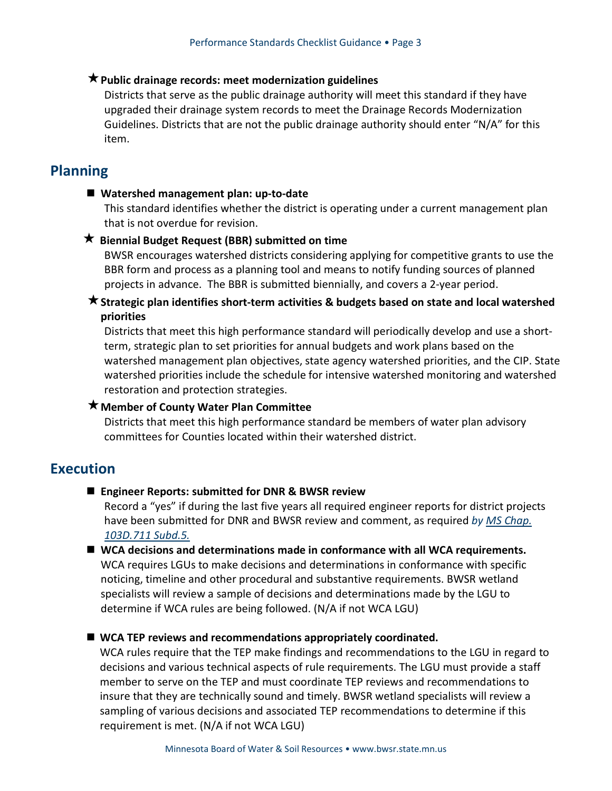#### **Public drainage records: meet modernization guidelines**

Districts that serve as the public drainage authority will meet this standard if they have upgraded their drainage system records to meet the Drainage Records Modernization Guidelines. Districts that are not the public drainage authority should enter "N/A" for this item.

## **Planning**

#### **Watershed management plan: up-to-date**

This standard identifies whether the district is operating under a current management plan that is not overdue for revision.

#### **Biennial Budget Request (BBR) submitted on time**

BWSR encourages watershed districts considering applying for competitive grants to use the BBR form and process as a planning tool and means to notify funding sources of planned projects in advance. The BBR is submitted biennially, and covers a 2-year period.

#### **Strategic plan identifies short-term activities & budgets based on state and local watershed priorities**

Districts that meet this high performance standard will periodically develop and use a shortterm, strategic plan to set priorities for annual budgets and work plans based on the watershed management plan objectives, state agency watershed priorities, and the CIP. State watershed priorities include the schedule for intensive watershed monitoring and watershed restoration and protection strategies.

#### **Member of County Water Plan Committee**

Districts that meet this high performance standard be members of water plan advisory committees for Counties located within their watershed district.

# **Execution**

#### **Engineer Reports: submitted for DNR & BWSR review**

Record a "yes" if during the last five years all required engineer reports for district projects have been submitted for DNR and BWSR review and comment, as required *by [MS Chap.](https://www.revisor.mn.gov/statutes/?id=103D.711)  [103D.711 Subd.5.](https://www.revisor.mn.gov/statutes/?id=103D.711)*

■ WCA decisions and determinations made in conformance with all WCA requirements. WCA requires LGUs to make decisions and determinations in conformance with specific noticing, timeline and other procedural and substantive requirements. BWSR wetland specialists will review a sample of decisions and determinations made by the LGU to determine if WCA rules are being followed. (N/A if not WCA LGU)

#### ■ WCA TEP reviews and recommendations appropriately coordinated.

WCA rules require that the TEP make findings and recommendations to the LGU in regard to decisions and various technical aspects of rule requirements. The LGU must provide a staff member to serve on the TEP and must coordinate TEP reviews and recommendations to insure that they are technically sound and timely. BWSR wetland specialists will review a sampling of various decisions and associated TEP recommendations to determine if this requirement is met. (N/A if not WCA LGU)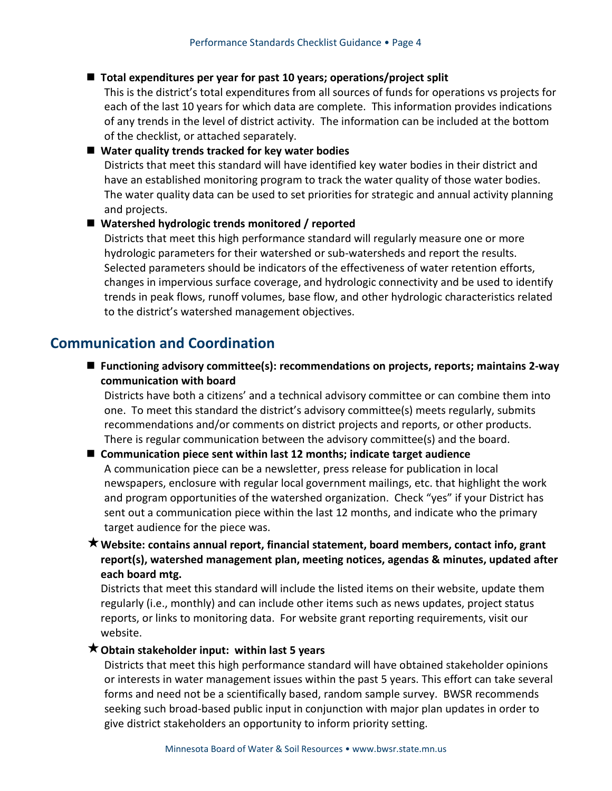#### **Total expenditures per year for past 10 years; operations/project split**

This is the district's total expenditures from all sources of funds for operations vs projects for each of the last 10 years for which data are complete. This information provides indications of any trends in the level of district activity. The information can be included at the bottom of the checklist, or attached separately.

#### **Water quality trends tracked for key water bodies**

Districts that meet this standard will have identified key water bodies in their district and have an established monitoring program to track the water quality of those water bodies. The water quality data can be used to set priorities for strategic and annual activity planning and projects.

#### **Watershed hydrologic trends monitored / reported**

Districts that meet this high performance standard will regularly measure one or more hydrologic parameters for their watershed or sub-watersheds and report the results. Selected parameters should be indicators of the effectiveness of water retention efforts, changes in impervious surface coverage, and hydrologic connectivity and be used to identify trends in peak flows, runoff volumes, base flow, and other hydrologic characteristics related to the district's watershed management objectives.

# **Communication and Coordination**

 **Functioning advisory committee(s): recommendations on projects, reports; maintains 2-way communication with board**

Districts have both a citizens' and a technical advisory committee or can combine them into one. To meet this standard the district's advisory committee(s) meets regularly, submits recommendations and/or comments on district projects and reports, or other products. There is regular communication between the advisory committee(s) and the board.

# **Communication piece sent within last 12 months; indicate target audience**

A communication piece can be a newsletter, press release for publication in local newspapers, enclosure with regular local government mailings, etc. that highlight the work and program opportunities of the watershed organization. Check "yes" if your District has sent out a communication piece within the last 12 months, and indicate who the primary target audience for the piece was.

**Website: contains annual report, financial statement, board members, contact info, grant report(s), watershed management plan, meeting notices, agendas & minutes, updated after each board mtg.** 

Districts that meet this standard will include the listed items on their website, update them regularly (i.e., monthly) and can include other items such as news updates, project status reports, or links to monitoring data. For website grant reporting requirements, visit our website.

#### **Obtain stakeholder input: within last 5 years**

Districts that meet this high performance standard will have obtained stakeholder opinions or interests in water management issues within the past 5 years. This effort can take several forms and need not be a scientifically based, random sample survey. BWSR recommends seeking such broad-based public input in conjunction with major plan updates in order to give district stakeholders an opportunity to inform priority setting.